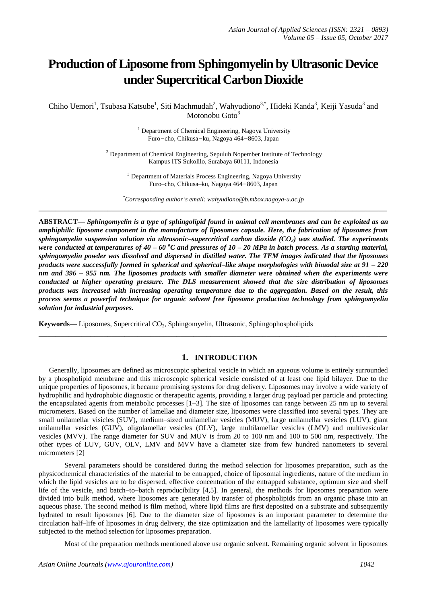# **Production of Liposome from Sphingomyelin by Ultrasonic Device under Supercritical Carbon Dioxide**

Chiho Uemori<sup>1</sup>, Tsubasa Katsube<sup>1</sup>, Siti Machmudah<sup>2</sup>, Wahyudiono<sup>3,\*</sup>, Hideki Kanda<sup>3</sup>, Keiji Yasuda<sup>3</sup> and Motonobu  $G$ oto $3$ 

> <sup>1</sup> Department of Chemical Engineering, Nagoya University Furo–cho, Chikusa–ku, Nagoya 464–8603, Japan

 $2$  Department of Chemical Engineering, Sepuluh Nopember Institute of Technology Kampus ITS Sukolilo, Surabaya 60111, Indonesia

<sup>3</sup> Department of Materials Process Engineering, Nagoya University Furo–cho, Chikusa–ku, Nagoya 464–8603, Japan

*\*Corresponding author's email: wahyudiono@b.mbox.nagoya-u.ac.jp* **\_\_\_\_\_\_\_\_\_\_\_\_\_\_\_\_\_\_\_\_\_\_\_\_\_\_\_\_\_\_\_\_\_\_\_\_\_\_\_\_\_\_\_\_\_\_\_\_\_\_\_\_\_\_\_\_\_\_\_\_\_\_\_\_\_\_\_\_\_\_\_\_\_\_\_\_\_\_\_\_\_**

**ABSTRACT—** *Sphingomyelin is a type of sphingolipid found in animal cell membranes and can be exploited as an amphiphilic liposome component in the manufacture of liposomes capsule. Here, the fabrication of liposomes from sphingomyelin suspension solution via ultrasonic–supercritical carbon dioxide (CO2) was studied. The experiments were conducted at temperatures of 40 – 60 °C and pressures of 10 – 20 MPa in batch process. As a starting material, sphingomyelin powder was dissolved and dispersed in distilled water. The TEM images indicated that the liposomes products were successfully formed in spherical and spherical–like shape morphologies with bimodal size at 91 – 220 nm and 396 – 955 nm. The liposomes products with smaller diameter were obtained when the experiments were conducted at higher operating pressure. The DLS measurement showed that the size distribution of liposomes products was increased with increasing operating temperature due to the aggregation. Based on the result, this process seems a powerful technique for organic solvent free liposome production technology from sphingomyelin solution for industrial purposes.*

**Keywords—** Liposomes, Supercritical CO<sub>2</sub>, Sphingomyelin, Ultrasonic, Sphingophospholipids

## **1. INTRODUCTION**

**\_\_\_\_\_\_\_\_\_\_\_\_\_\_\_\_\_\_\_\_\_\_\_\_\_\_\_\_\_\_\_\_\_\_\_\_\_\_\_\_\_\_\_\_\_\_\_\_\_\_\_\_\_\_\_\_\_\_\_\_\_\_\_\_\_\_\_\_\_\_\_\_\_\_\_\_\_\_\_\_\_**

Generally, liposomes are defined as microscopic spherical vesicle in which an aqueous volume is entirely surrounded by a phospholipid membrane and this microscopic spherical vesicle consisted of at least one lipid bilayer. Due to the unique properties of liposomes, it became promising systems for drug delivery. Liposomes may involve a wide variety of hydrophilic and hydrophobic diagnostic or therapeutic agents, providing a larger drug payload per particle and protecting the encapsulated agents from metabolic processes [1–3]. The size of liposomes can range between 25 nm up to several micrometers. Based on the number of lamellae and diameter size, liposomes were classified into several types. They are small unilamellar visicles (SUV), medium–sized unilamellar vesicles (MUV), large unilamellar vesicles (LUV), giant unilamellar vesicles (GUV), oligolamellar vesicles (OLV), large multilamellar vesicles (LMV) and multivesicular vesicles (MVV). The range diameter for SUV and MUV is from 20 to 100 nm and 100 to 500 nm, respectively. The other types of LUV, GUV, OLV, LMV and MVV have a diameter size from few hundred nanometers to several micrometers [2]

Several parameters should be considered during the method selection for liposomes preparation, such as the physicochemical characteristics of the material to be entrapped, choice of liposomal ingredients, nature of the medium in which the lipid vesicles are to be dispersed, effective concentration of the entrapped substance, optimum size and shelf life of the vesicle, and batch–to–batch reproducibility [4,5]. In general, the methods for liposomes preparation were divided into bulk method, where liposomes are generated by transfer of phospholipids from an organic phase into an aqueous phase. The second method is film method, where lipid films are first deposited on a substrate and subsequently hydrated to result liposomes [6]. Due to the diameter size of liposomes is an important parameter to determine the circulation half–life of liposomes in drug delivery, the size optimization and the lamellarity of liposomes were typically subjected to the method selection for liposomes preparation.

Most of the preparation methods mentioned above use organic solvent. Remaining organic solvent in liposomes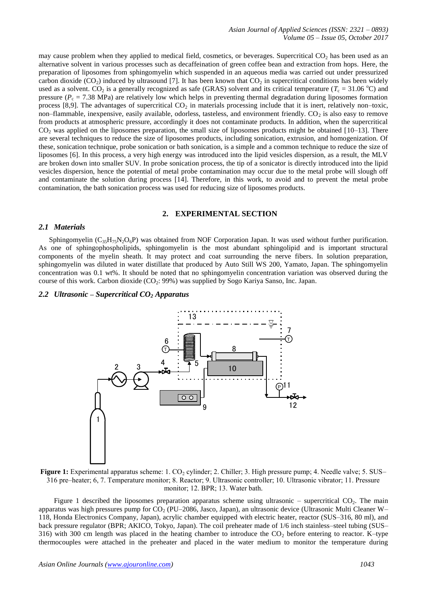may cause problem when they applied to medical field, cosmetics, or beverages. Supercritical  $CO<sub>2</sub>$  has been used as an alternative solvent in various processes such as decaffeination of green coffee bean and extraction from hops. Here, the preparation of liposomes from sphingomyelin which suspended in an aqueous media was carried out under pressurized carbon dioxide (CO<sub>2</sub>) induced by ultrasound [7]. It has been known that CO<sub>2</sub> in supercritical conditions has been widely used as a solvent. CO<sub>2</sub> is a generally recognized as safe (GRAS) solvent and its critical temperature ( $T_c = 31.06 \degree$ C) and pressure ( $P_c = 7.38$  MPa) are relatively low which helps in preventing thermal degradation during liposomes formation process [8,9]. The advantages of supercritical  $CO<sub>2</sub>$  in materials processing include that it is inert, relatively non–toxic, non–flammable, inexpensive, easily available, odorless, tasteless, and environment friendly.  $CO<sub>2</sub>$  is also easy to remove from products at atmospheric pressure, accordingly it does not contaminate products. In addition, when the supercritical  $CO<sub>2</sub>$  was applied on the liposomes preparation, the small size of liposomes products might be obtained [10–13]. There are several techniques to reduce the size of liposomes products, including sonication, extrusion, and homogenization. Of these, sonication technique, probe sonication or bath sonication, is a simple and a common technique to reduce the size of liposomes [6]. In this process, a very high energy was introduced into the lipid vesicles dispersion, as a result, the MLV are broken down into smaller SUV. In probe sonication process, the tip of a sonicator is directly introduced into the lipid vesicles dispersion, hence the potential of metal probe contamination may occur due to the metal probe will slough off and contaminate the solution during process [14]. Therefore, in this work, to avoid and to prevent the metal probe contamination, the bath sonication process was used for reducing size of liposomes products.

## **2. EXPERIMENTAL SECTION**

#### *2.1 Materials*

Sphingomyelin ( $C_{35}H_{75}N_2O_6P$ ) was obtained from NOF Corporation Japan. It was used without further purification. As one of sphingophospholipids, sphingomyelin is the most abundant sphingolipid and is important structural components of the myelin sheath. It may protect and coat surrounding the nerve fibers. In solution preparation, sphingomyelin was diluted in water distillate that produced by Auto Still WS 200, Yamato, Japan. The sphingomyelin concentration was 0.1 wt%. It should be noted that no sphingomyelin concentration variation was observed during the course of this work. Carbon dioxide (CO<sub>2</sub>: 99%) was supplied by Sogo Kariya Sanso, Inc. Japan.

## *2.2 Ultrasonic* **–** *Supercritical CO<sup>2</sup> Apparatus*



**Figure 1:** Experimental apparatus scheme: 1. CO<sub>2</sub> cylinder; 2. Chiller; 3. High pressure pump; 4. Needle valve; 5. SUS– 316 pre–heater; 6, 7. Temperature monitor; 8. Reactor; 9. Ultrasonic controller; 10. Ultrasonic vibrator; 11. Pressure monitor; 12. BPR; 13. Water bath.

Figure 1 described the liposomes preparation apparatus scheme using ultrasonic – supercritical  $CO<sub>2</sub>$ . The main apparatus was high pressures pump for  $CO_2$  (PU–2086, Jasco, Japan), an ultrasonic device (Ultrasonic Multi Cleaner W– 118, Honda Electronics Company, Japan), acrylic chamber equipped with electric heater, reactor (SUS–316, 80 ml), and back pressure regulator (BPR; AKICO, Tokyo, Japan). The coil preheater made of 1/6 inch stainless–steel tubing (SUS– 316) with 300 cm length was placed in the heating chamber to introduce the  $CO<sub>2</sub>$  before entering to reactor. K–type thermocouples were attached in the preheater and placed in the water medium to monitor the temperature during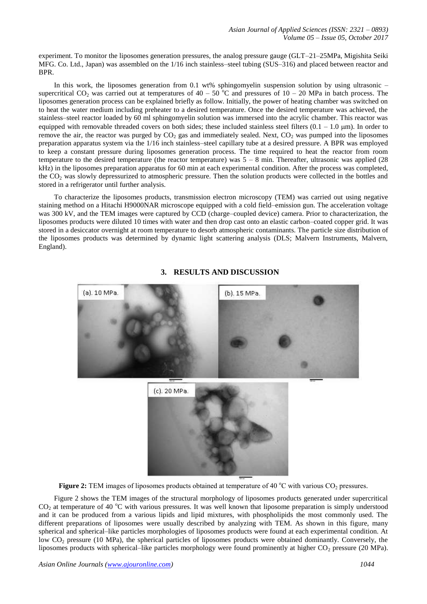experiment. To monitor the liposomes generation pressures, the analog pressure gauge (GLT–21–25MPa, Migishita Seiki MFG. Co. Ltd., Japan) was assembled on the 1/16 inch stainless–steel tubing (SUS–316) and placed between reactor and BPR.

In this work, the liposomes generation from 0.1 wt% sphingomyelin suspension solution by using ultrasonic – supercritical CO<sub>2</sub> was carried out at temperatures of  $40 - 50$  °C and pressures of  $10 - 20$  MPa in batch process. The liposomes generation process can be explained briefly as follow. Initially, the power of heating chamber was switched on to heat the water medium including preheater to a desired temperature. Once the desired temperature was achieved, the stainless–steel reactor loaded by 60 ml sphingomyelin solution was immersed into the acrylic chamber. This reactor was equipped with removable threaded covers on both sides; these included stainless steel filters  $(0.1 - 1.0 \,\mu\text{m})$ . In order to remove the air, the reactor was purged by  $CO<sub>2</sub>$  gas and immediately sealed. Next,  $CO<sub>2</sub>$  was pumped into the liposomes preparation apparatus system via the 1/16 inch stainless–steel capillary tube at a desired pressure. A BPR was employed to keep a constant pressure during liposomes generation process. The time required to heat the reactor from room temperature to the desired temperature (the reactor temperature) was  $5 - 8$  min. Thereafter, ultrasonic was applied (28) kHz) in the liposomes preparation apparatus for 60 min at each experimental condition. After the process was completed, the CO<sup>2</sup> was slowly depressurized to atmospheric pressure. Then the solution products were collected in the bottles and stored in a refrigerator until further analysis.

To characterize the liposomes products, transmission electron microscopy (TEM) was carried out using negative staining method on a Hitachi H9000NAR microscope equipped with a cold field–emission gun. The acceleration voltage was 300 kV, and the TEM images were captured by CCD (charge–coupled device) camera. Prior to characterization, the liposomes products were diluted 10 times with water and then drop cast onto an elastic carbon–coated copper grid. It was stored in a desiccator overnight at room temperature to desorb atmospheric contaminants. The particle size distribution of the liposomes products was determined by dynamic light scattering analysis (DLS; Malvern Instruments, Malvern, England).



# **3. RESULTS AND DISCUSSION**

**Figure 2:** TEM images of liposomes products obtained at temperature of 40 °C with various CO<sub>2</sub> pressures.

Figure 2 shows the TEM images of the structural morphology of liposomes products generated under supercritical  $CO<sub>2</sub>$  at temperature of 40 °C with various pressures. It was well known that liposome preparation is simply understood and it can be produced from a various lipids and lipid mixtures, with phospholipids the most commonly used. The different preparations of liposomes were usually described by analyzing with TEM. As shown in this figure, many spherical and spherical–like particles morphologies of liposomes products were found at each experimental condition. At low  $CO<sub>2</sub>$  pressure (10 MPa), the spherical particles of liposomes products were obtained dominantly. Conversely, the liposomes products with spherical–like particles morphology were found prominently at higher  $CO<sub>2</sub>$  pressure (20 MPa).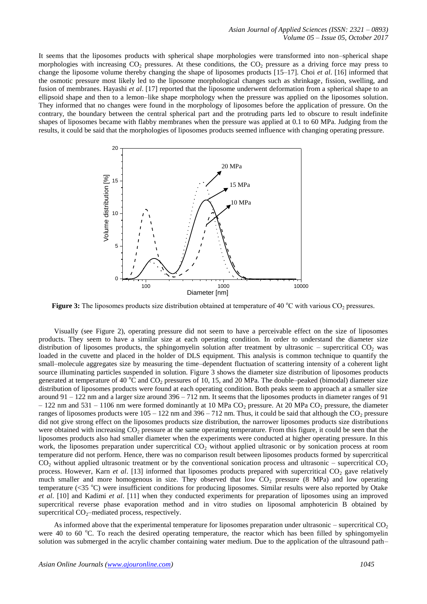It seems that the liposomes products with spherical shape morphologies were transformed into non–spherical shape morphologies with increasing  $CO<sub>2</sub>$  pressures. At these conditions, the  $CO<sub>2</sub>$  pressure as a driving force may press to change the liposome volume thereby changing the shape of liposomes products [15–17]. Choi *et al*. [16] informed that the osmotic pressure most likely led to the liposome morphological changes such as shrinkage, fission, swelling, and fusion of membranes. Hayashi *et al*. [17] reported that the liposome underwent deformation from a spherical shape to an ellipsoid shape and then to a lemon–like shape morphology when the pressure was applied on the liposomes solution. They informed that no changes were found in the morphology of liposomes before the application of pressure. On the contrary, the boundary between the central spherical part and the protruding parts led to obscure to result indefinite shapes of liposomes became with flabby membranes when the pressure was applied at 0.1 to 60 MPa. Judging from the results, it could be said that the morphologies of liposomes products seemed influence with changing operating pressure.



**Figure 3:** The liposomes products size distribution obtained at temperature of 40 °C with various CO<sub>2</sub> pressures.

Visually (see Figure 2), operating pressure did not seem to have a perceivable effect on the size of liposomes products. They seem to have a similar size at each operating condition. In order to understand the diameter size distribution of liposomes products, the sphingomyelin solution after treatment by ultrasonic – supercritical  $CO<sub>2</sub>$  was loaded in the cuvette and placed in the holder of DLS equipment. This analysis is common technique to quantify the small–molecule aggregates size by measuring the time–dependent fluctuation of scattering intensity of a coherent light source illuminating particles suspended in solution. Figure 3 shows the diameter size distribution of liposomes products generated at temperature of 40  $^{\circ}$ C and CO<sub>2</sub> pressures of 10, 15, and 20 MPa. The double–peaked (bimodal) diameter size distribution of liposomes products were found at each operating condition. Both peaks seem to approach at a smaller size around 91 – 122 nm and a larger size around 396 – 712 nm. It seems that the liposomes products in diameter ranges of 91  $-122$  nm and 531 – 1106 nm were formed dominantly at 10 MPa CO<sub>2</sub> pressure. At 20 MPa CO<sub>2</sub> pressure, the diameter ranges of liposomes products were  $105 - 122$  nm and  $396 - 712$  nm. Thus, it could be said that although the CO<sub>2</sub> pressure did not give strong effect on the liposomes products size distribution, the narrower liposomes products size distributions were obtained with increasing  $CO<sub>2</sub>$  pressure at the same operating temperature. From this figure, it could be seen that the liposomes products also had smaller diameter when the experiments were conducted at higher operating pressure. In this work, the liposomes preparation under supercritical  $CO<sub>2</sub>$  without applied ultrasonic or by sonication process at room temperature did not perform. Hence, there was no comparison result between liposomes products formed by supercritical  $CO<sub>2</sub>$  without applied ultrasonic treatment or by the conventional sonication process and ultrasonic – supercritical  $CO<sub>2</sub>$ process. However, Karn *et al.* [13] informed that liposomes products prepared with supercritical CO<sub>2</sub> gave relatively much smaller and more homogenous in size. They observed that low  $CO<sub>2</sub>$  pressure (8 MPa) and low operating temperature  $(\leq 35 \degree C)$  were insufficient conditions for producing liposomes. Similar results were also reported by Otake *et al*. [10] and Kadimi *et al*. [11] when they conducted experiments for preparation of liposomes using an improved supercritical reverse phase evaporation method and in vitro studies on liposomal amphotericin B obtained by supercritical  $CO_2$ –mediated process, respectively.

As informed above that the experimental temperature for liposomes preparation under ultrasonic – supercritical  $CO<sub>2</sub>$ were 40 to 60  $^{\circ}$ C. To reach the desired operating temperature, the reactor which has been filled by sphingomyelin solution was submerged in the acrylic chamber containing water medium. Due to the application of the ultrasound path–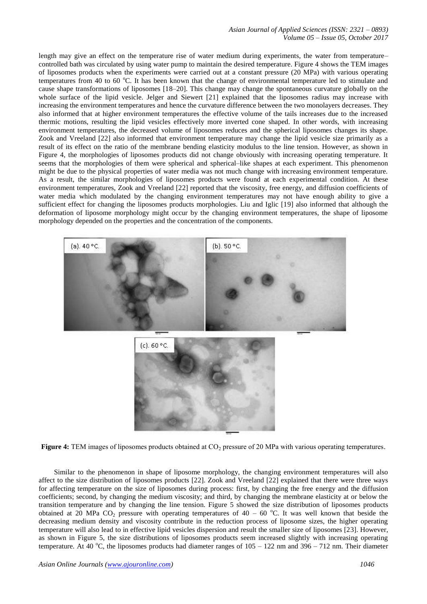length may give an effect on the temperature rise of water medium during experiments, the water from temperature– controlled bath was circulated by using water pump to maintain the desired temperature. Figure 4 shows the TEM images of liposomes products when the experiments were carried out at a constant pressure (20 MPa) with various operating temperatures from 40 to 60  $^{\circ}$ C. It has been known that the change of environmental temperature led to stimulate and cause shape transformations of liposomes [18–20]. This change may change the spontaneous curvature globally on the whole surface of the lipid vesicle. Jelger and Siewert [21] explained that the liposomes radius may increase with increasing the environment temperatures and hence the curvature difference between the two monolayers decreases. They also informed that at higher environment temperatures the effective volume of the tails increases due to the increased thermic motions, resulting the lipid vesicles effectively more inverted cone shaped. In other words, with increasing environment temperatures, the decreased volume of liposomes reduces and the spherical liposomes changes its shape. Zook and Vreeland [22] also informed that environment temperature may change the lipid vesicle size primarily as a result of its effect on the ratio of the membrane bending elasticity modulus to the line tension. However, as shown in Figure 4, the morphologies of liposomes products did not change obviously with increasing operating temperature. It seems that the morphologies of them were spherical and spherical–like shapes at each experiment. This phenomenon might be due to the physical properties of water media was not much change with increasing environment temperature. As a result, the similar morphologies of liposomes products were found at each experimental condition. At these environment temperatures, Zook and Vreeland [22] reported that the viscosity, free energy, and diffusion coefficients of water media which modulated by the changing environment temperatures may not have enough ability to give a sufficient effect for changing the liposomes products morphologies. Liu and Iglic [19] also informed that although the deformation of liposome morphology might occur by the changing environment temperatures, the shape of liposome morphology depended on the properties and the concentration of the components.



**Figure 4:** TEM images of liposomes products obtained at CO<sub>2</sub> pressure of 20 MPa with various operating temperatures.

Similar to the phenomenon in shape of liposome morphology, the changing environment temperatures will also affect to the size distribution of liposomes products [22]. Zook and Vreeland [22] explained that there were three ways for affecting temperature on the size of liposomes during process: first, by changing the free energy and the diffusion coefficients; second, by changing the medium viscosity; and third, by changing the membrane elasticity at or below the transition temperature and by changing the line tension. Figure 5 showed the size distribution of liposomes products obtained at 20 MPa CO<sub>2</sub> pressure with operating temperatures of 40 – 60 °C. It was well known that beside the decreasing medium density and viscosity contribute in the reduction process of liposome sizes, the higher operating temperature will also lead to in effective lipid vesicles dispersion and result the smaller size of liposomes [23]. However, as shown in Figure 5, the size distributions of liposomes products seem increased slightly with increasing operating temperature. At 40 °C, the liposomes products had diameter ranges of  $105 - 122$  nm and  $396 - 712$  nm. Their diameter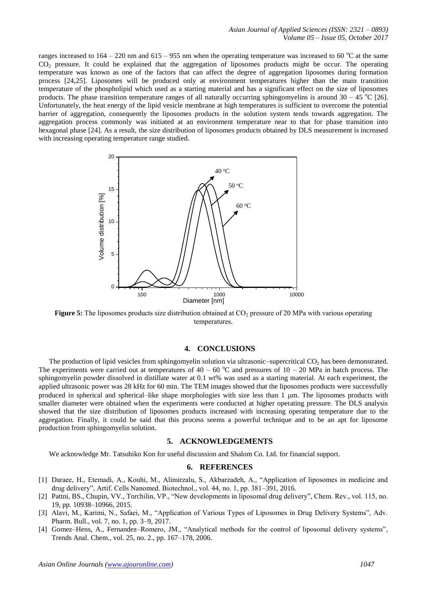ranges increased to  $164 - 220$  nm and  $615 - 955$  nm when the operating temperature was increased to 60  $^{\circ}$ C at the same CO<sub>2</sub> pressure. It could be explained that the aggregation of liposomes products might be occur. The operating temperature was known as one of the factors that can affect the degree of aggregation liposomes during formation process [24,25]. Liposomes will be produced only at environment temperatures higher than the main transition temperature of the phospholipid which used as a starting material and has a significant effect on the size of liposomes products. The phase transition temperature ranges of all naturally occurring sphingomyelins is around  $30 - 45$  °C [26]. Unfortunately, the heat energy of the lipid vesicle membrane at high temperatures is sufficient to overcome the potential barrier of aggregation, consequently the liposomes products in the solution system tends towards aggregation. The aggregation process commonly was initiated at an environment temperature near to that for phase transition into hexagonal phase [24]. As a result, the size distribution of liposomes products obtained by DLS measurement is increased with increasing operating temperature range studied.



**Figure 5:** The liposomes products size distribution obtained at CO<sub>2</sub> pressure of 20 MPa with various operating temperatures.

# **4. CONCLUSIONS**

The production of lipid vesicles from sphingomyelin solution via ultrasonic–supercritical  $CO<sub>2</sub>$  has been demonstrated. The experiments were carried out at temperatures of  $40 - 60$  °C and pressures of  $10 - 20$  MPa in batch process. The sphingomyelin powder dissolved in distillate water at 0.1 wt% was used as a starting material. At each experiment, the applied ultrasonic power was 28 kHz for 60 min. The TEM images showed that the liposomes products were successfully produced in spherical and spherical–like shape morphologies with size less than 1 µm. The liposomes products with smaller diameter were obtained when the experiments were conducted at higher operating pressure. The DLS analysis showed that the size distribution of liposomes products increased with increasing operating temperature due to the aggregation. Finally, it could be said that this process seems a powerful technique and to be an apt for liposome production from sphingomyelin solution.

#### **5. ACKNOWLEDGEMENTS**

We acknowledge Mr. Tatsuhiko Kon for useful discussion and Shalom Co. Ltd. for financial support.

#### **6. REFERENCES**

- [1] Daraee, H., Etemadi, A., Kouhi, M., Alimirzalu, S., Akbarzadeh, A., "Application of liposomes in medicine and drug delivery", Artif. Cells Nanomed. Biotechnol., vol. 44, no. 1, pp. 381–391, 2016.
- [2] Pattni, BS., Chupin, VV., Torchilin, VP., "New developments in liposomal drug delivery", Chem. Rev., vol. 115, no. 19, pp. 10938–10966, 2015.
- [3] Alavi, M., Karimi, N., Safaei, M., "Application of Various Types of Liposomes in Drug Delivery Systems", Adv. Pharm. Bull., vol. 7, no. 1, pp. 3–9, 2017.
- [4] Gomez–Hens, A., Fernandez–Romero, JM., "Analytical methods for the control of liposomal delivery systems", Trends Anal. Chem., vol. 25, no. 2., pp. 167–178, 2006.